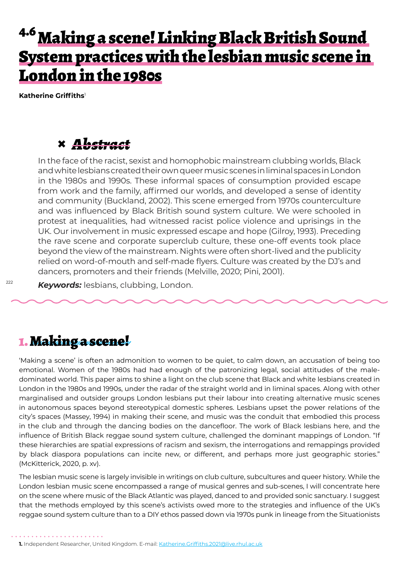# <sup>4.6</sup> Making a scene! Linking Black British Sound System practices with the lesbian music scene in London in the 1980s

**Katherine Griffiths**<sup>1</sup>

### **×** *Abstract*

In the face of the racist, sexist and homophobic mainstream clubbing worlds, Black and white lesbians created their own queer music scenes in liminal spaces in London in the 1980s and 1990s. These informal spaces of consumption provided escape from work and the family, affirmed our worlds, and developed a sense of identity and community (Buckland, 2002). This scene emerged from 1970s counterculture and was influenced by Black British sound system culture. We were schooled in protest at inequalities, had witnessed racist police violence and uprisings in the UK. Our involvement in music expressed escape and hope (Gilroy, 1993). Preceding the rave scene and corporate superclub culture, these one-off events took place beyond the view of the mainstream. Nights were often short-lived and the publicity relied on word-of-mouth and self-made flyers. Culture was created by the DJ's and dancers, promoters and their friends (Melville, 2020; Pini, 2001).

*Keywords:* lesbians, clubbing, London.

## 1. Making a scene!

'Making a scene' is often an admonition to women to be quiet, to calm down, an accusation of being too emotional. Women of the 1980s had had enough of the patronizing legal, social attitudes of the maledominated world. This paper aims to shine a light on the club scene that Black and white lesbians created in London in the 1980s and 1990s, under the radar of the straight world and in liminal spaces. Along with other marginalised and outsider groups London lesbians put their labour into creating alternative music scenes in autonomous spaces beyond stereotypical domestic spheres. Lesbians upset the power relations of the city's spaces (Massey, 1994) in making their scene, and music was the conduit that embodied this process in the club and through the dancing bodies on the dancefloor. The work of Black lesbians here, and the influence of British Black reggae sound system culture, challenged the dominant mappings of London. "If these hierarchies are spatial expressions of racism and sexism, the interrogations and remappings provided by black diaspora populations can incite new, or different, and perhaps more just geographic stories." (McKitterick, 2020, p. xv).

The lesbian music scene is largely invisible in writings on club culture, subcultures and queer history. While the London lesbian music scene encompassed a range of musical genres and sub-scenes, I will concentrate here on the scene where music of the Black Atlantic was played, danced to and provided sonic sanctuary. I suggest that the methods employed by this scene's activists owed more to the strategies and influence of the UK's reggae sound system culture than to a DIY ethos passed down via 1970s punk in lineage from the Situationists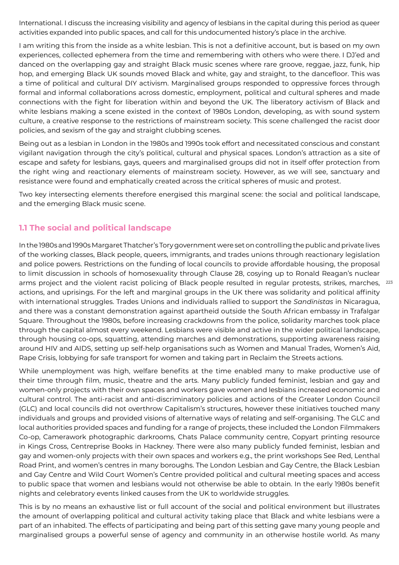International. I discuss the increasing visibility and agency of lesbians in the capital during this period as queer activities expanded into public spaces, and call for this undocumented history's place in the archive.

I am writing this from the inside as a white lesbian. This is not a definitive account, but is based on my own experiences, collected ephemera from the time and remembering with others who were there. I DJ'ed and danced on the overlapping gay and straight Black music scenes where rare groove, reggae, jazz, funk, hip hop, and emerging Black UK sounds moved Black and white, gay and straight, to the dancefloor. This was a time of political and cultural DIY activism. Marginalised groups responded to oppressive forces through formal and informal collaborations across domestic, employment, political and cultural spheres and made connections with the fight for liberation within and beyond the UK. The liberatory activism of Black and white lesbians making a scene existed in the context of 1980s London, developing, as with sound system culture, a creative response to the restrictions of mainstream society. This scene challenged the racist door policies, and sexism of the gay and straight clubbing scenes.

Being out as a lesbian in London in the 1980s and 1990s took effort and necessitated conscious and constant vigilant navigation through the city's political, cultural and physical spaces. London's attraction as a site of escape and safety for lesbians, gays, queers and marginalised groups did not in itself offer protection from the right wing and reactionary elements of mainstream society. However, as we will see, sanctuary and resistance were found and emphatically created across the critical spheres of music and protest.

Two key intersecting elements therefore energised this marginal scene: the social and political landscape, and the emerging Black music scene.

#### **1.1 The social and political landscape**

arms project and the violent racist policing of Black people resulted in regular protests, strikes, marches, 223 In the 1980s and 1990s Margaret Thatcher's Tory government were set on controlling the public and private lives of the working classes, Black people, queers, immigrants, and trades unions through reactionary legislation and police powers. Restrictions on the funding of local councils to provide affordable housing, the proposal to limit discussion in schools of homosexuality through Clause 28, cosying up to Ronald Reagan's nuclear actions, and uprisings. For the left and marginal groups in the UK there was solidarity and political affinity with international struggles. Trades Unions and individuals rallied to support the *Sandinistas* in Nicaragua, and there was a constant demonstration against apartheid outside the South African embassy in Trafalgar Square. Throughout the 1980s, before increasing crackdowns from the police, solidarity marches took place through the capital almost every weekend. Lesbians were visible and active in the wider political landscape, through housing co-ops, squatting, attending marches and demonstrations, supporting awareness raising around HIV and AIDS, setting up self-help organisations such as Women and Manual Trades, Women's Aid, Rape Crisis, lobbying for safe transport for women and taking part in Reclaim the Streets actions.

While unemployment was high, welfare benefits at the time enabled many to make productive use of their time through film, music, theatre and the arts. Many publicly funded feminist, lesbian and gay and women-only projects with their own spaces and workers gave women and lesbians increased economic and cultural control. The anti-racist and anti-discriminatory policies and actions of the Greater London Council (GLC) and local councils did not overthrow Capitalism's structures, however these initiatives touched many individuals and groups and provided visions of alternative ways of relating and self-organising. The GLC and local authorities provided spaces and funding for a range of projects, these included the London Filmmakers Co-op, Camerawork photographic darkrooms, Chats Palace community centre, Copyart printing resource in Kings Cross, Centreprise Books in Hackney. There were also many publicly funded feminist, lesbian and gay and women-only projects with their own spaces and workers e.g., the print workshops See Red, Lenthal Road Print, and women's centres in many boroughs. The London Lesbian and Gay Centre, the Black Lesbian and Gay Centre and Wild Court Women's Centre provided political and cultural meeting spaces and access to public space that women and lesbians would not otherwise be able to obtain. In the early 1980s benefit nights and celebratory events linked causes from the UK to worldwide struggles.

This is by no means an exhaustive list or full account of the social and political environment but illustrates the amount of overlapping political and cultural activity taking place that Black and white lesbians were a part of an inhabited. The effects of participating and being part of this setting gave many young people and marginalised groups a powerful sense of agency and community in an otherwise hostile world. As many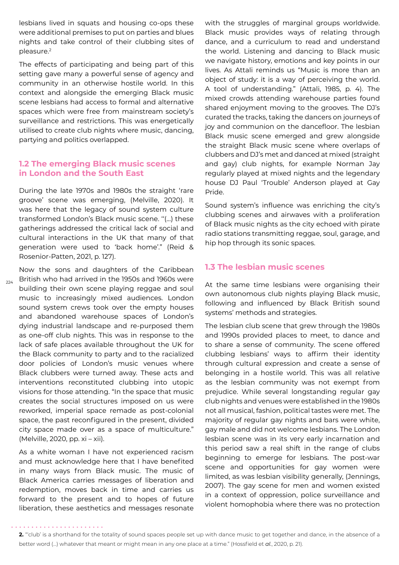lesbians lived in squats and housing co-ops these were additional premises to put on parties and blues nights and take control of their clubbing sites of pleasure.<sup>2</sup>

The effects of participating and being part of this setting gave many a powerful sense of agency and community in an otherwise hostile world. In this context and alongside the emerging Black music scene lesbians had access to formal and alternative spaces which were free from mainstream society's surveillance and restrictions. This was energetically utilised to create club nights where music, dancing, partying and politics overlapped.

#### **1.2 The emerging Black music scenes in London and the South East**

During the late 1970s and 1980s the straight 'rare groove' scene was emerging, (Melville, 2020). It was here that the legacy of sound system culture transformed London's Black music scene. ''(…) these gatherings addressed the critical lack of social and cultural interactions in the UK that many of that generation were used to 'back home'." (Reid & Rosenior-Patten, 2021, p. 127).

 $224$ 

Now the sons and daughters of the Caribbean British who had arrived in the 1950s and 1960s were building their own scene playing reggae and soul music to increasingly mixed audiences. London sound system crews took over the empty houses and abandoned warehouse spaces of London's dying industrial landscape and re-purposed them as one-off club nights. This was in response to the lack of safe places available throughout the UK for the Black community to party and to the racialized door policies of London's music venues where Black clubbers were turned away. These acts and interventions reconstituted clubbing into utopic visions for those attending. "In the space that music creates the social structures imposed on us were reworked, imperial space remade as post-colonial space, the past reconfigured in the present, divided city space made over as a space of multiculture." (Melville, 2020, pp. xi – xii).

As a white woman I have not experienced racism and must acknowledge here that I have benefited in many ways from Black music. The music of Black America carries messages of liberation and redemption, moves back in time and carries us forward to the present and to hopes of future liberation, these aesthetics and messages resonate with the struggles of marginal groups worldwide. Black music provides ways of relating through dance, and a curriculum to read and understand the world. Listening and dancing to Black music we navigate history, emotions and key points in our lives. As Attali reminds us "Music is more than an object of study: it is a way of perceiving the world. A tool of understanding." (Attali, 1985, p. 4). The mixed crowds attending warehouse parties found shared enjoyment moving to the grooves. The DJ's curated the tracks, taking the dancers on journeys of joy and communion on the dancefloor. The lesbian Black music scene emerged and grew alongside the straight Black music scene where overlaps of clubbers and DJ's met and danced at mixed (straight and gay) club nights, for example Norman Jay regularly played at mixed nights and the legendary house DJ Paul 'Trouble' Anderson played at Gay Pride.

Sound system's influence was enriching the city's clubbing scenes and airwaves with a proliferation of Black music nights as the city echoed with pirate radio stations transmitting reggae, soul, garage, and hip hop through its sonic spaces.

#### **1.3 The lesbian music scenes**

At the same time lesbians were organising their own autonomous club nights playing Black music, following and influenced by Black British sound systems' methods and strategies.

The lesbian club scene that grew through the 1980s and 1990s provided places to meet, to dance and to share a sense of community. The scene offered clubbing lesbians' ways to affirm their identity through cultural expression and create a sense of belonging in a hostile world. This was all relative as the lesbian community was not exempt from prejudice. While several longstanding regular gay club nights and venues were established in the 1980s not all musical, fashion, political tastes were met. The majority of regular gay nights and bars were white, gay male and did not welcome lesbians. The London lesbian scene was in its very early incarnation and this period saw a real shift in the range of clubs beginning to emerge for lesbians. The post-war scene and opportunities for gay women were limited, as was lesbian visibility generally, (Jennings, 2007). The gay scene for men and women existed in a context of oppression, police surveillance and violent homophobia where there was no protection

**<sup>2.</sup>** "'club' is a shorthand for the totality of sound spaces people set up with dance music to get together and dance, in the absence of a better word (…) whatever that meant or might mean in any one place at a time." (Hossfield et *al.*, 2020, p. 21).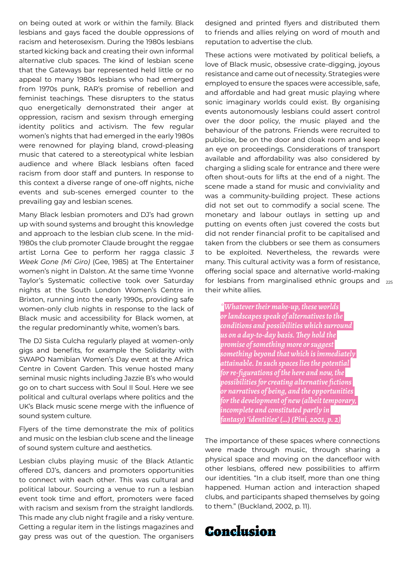on being outed at work or within the family. Black lesbians and gays faced the double oppressions of racism and heterosexism. During the 1980s lesbians started kicking back and creating their own informal alternative club spaces. The kind of lesbian scene that the Gateways bar represented held little or no appeal to many 1980s lesbians who had emerged from 1970s punk, RAR's promise of rebellion and feminist teachings. These disrupters to the status quo energetically demonstrated their anger at oppression, racism and sexism through emerging identity politics and activism. The few regular women's nights that had emerged in the early 1980s were renowned for playing bland, crowd-pleasing music that catered to a stereotypical white lesbian audience and where Black lesbians often faced racism from door staff and punters. In response to this context a diverse range of one-off nights, niche events and sub-scenes emerged counter to the prevailing gay and lesbian scenes.

Many Black lesbian promoters and DJ's had grown up with sound systems and brought this knowledge and approach to the lesbian club scene. In the mid-1980s the club promoter Claude brought the reggae artist Lorna Gee to perform her ragga classic *3 Week Gone (Mi Giro)* (Gee, 1985) at The Entertainer women's night in Dalston. At the same time Yvonne Taylor's Systematic collective took over Saturday nights at the South London Women's Centre in Brixton, running into the early 1990s, providing safe women-only club nights in response to the lack of Black music and accessibility for Black women, at the regular predominantly white, women's bars.

The DJ Sista Culcha regularly played at women-only gigs and benefits, for example the Solidarity with SWAPO Namibian Women's Day event at the Africa Centre in Covent Garden. This venue hosted many seminal music nights including Jazzie B's who would go on to chart success with Soul II Soul. Here we see political and cultural overlaps where politics and the UK's Black music scene merge with the influence of sound system culture.

Flyers of the time demonstrate the mix of politics and music on the lesbian club scene and the lineage of sound system culture and aesthetics.

Lesbian clubs playing music of the Black Atlantic offered DJ's, dancers and promoters opportunities to connect with each other. This was cultural and political labour. Sourcing a venue to run a lesbian event took time and effort, promoters were faced with racism and sexism from the straight landlords. This made any club night fragile and a risky venture. Getting a regular item in the listings magazines and gay press was out of the question. The organisers designed and printed flyers and distributed them to friends and allies relying on word of mouth and reputation to advertise the club.

for lesbians from marginalised ethnic groups and  $_{225}$ These actions were motivated by political beliefs, a love of Black music, obsessive crate-digging, joyous resistance and came out of necessity. Strategies were employed to ensure the spaces were accessible, safe, and affordable and had great music playing where sonic imaginary worlds could exist. By organising events autonomously lesbians could assert control over the door policy, the music played and the behaviour of the patrons. Friends were recruited to publicise, be on the door and cloak room and keep an eye on proceedings. Considerations of transport available and affordability was also considered by charging a sliding scale for entrance and there were often shout-outs for lifts at the end of a night. The scene made a stand for music and conviviality and was a community-building project. These actions did not set out to commodify a social scene. The monetary and labour outlays in setting up and putting on events often just covered the costs but did not render financial profit to be capitalised and taken from the clubbers or see them as consumers to be exploited. Nevertheless, the rewards were many. This cultural activity was a form of resistance, offering social space and alternative world-making their white allies.

*\*Whatever their make-up, these worlds or landscapes speak of alternatives to the conditions and possibilities which surround us on a day-to-day basis. They hold the promise of something more or suggest something beyond that which is immediately attainable. In such spaces lies the potential for re-figurations of the here and now, the possibilities for creating alternative fictions or narratives of being, and the opportunities for the development of new (albeit temporary, incomplete and constituted partly in fantasy) 'identities' (…) (Pini, 2001, p. 2)*

The importance of these spaces where connections were made through music, through sharing a physical space and moving on the dancefloor with other lesbians, offered new possibilities to affirm our identities. "In a club itself, more than one thing happened. Human action and interaction shaped clubs, and participants shaped themselves by going to them." (Buckland, 2002, p. 11).

### Conclusion